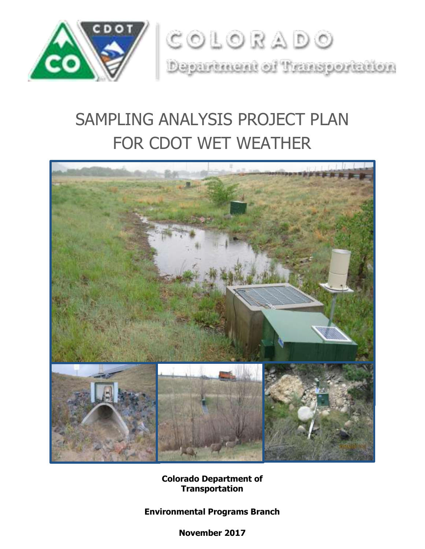

# SAMPLING ANALYSIS PROJECT PLAN FOR CDOT WET WEATHER



**Colorado Department of Transportation**

**Environmental Programs Branch**

**November 2017**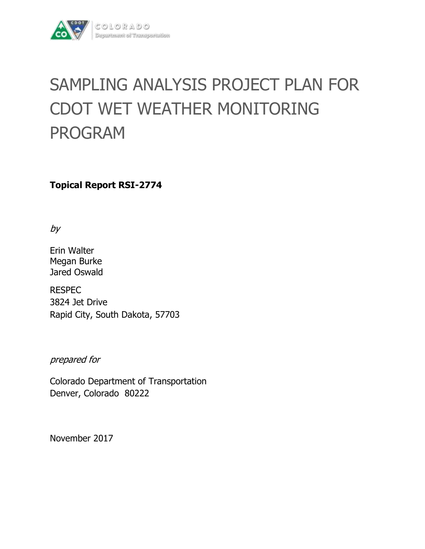

# SAMPLING ANALYSIS PROJECT PLAN FOR CDOT WET WEATHER MONITORING PROGRAM

**Topical Report RSI-2774**

by

Erin Walter Megan Burke Jared Oswald

RESPEC 3824 Jet Drive Rapid City, South Dakota, 57703

prepared for

Colorado Department of Transportation Denver, Colorado 80222

November 2017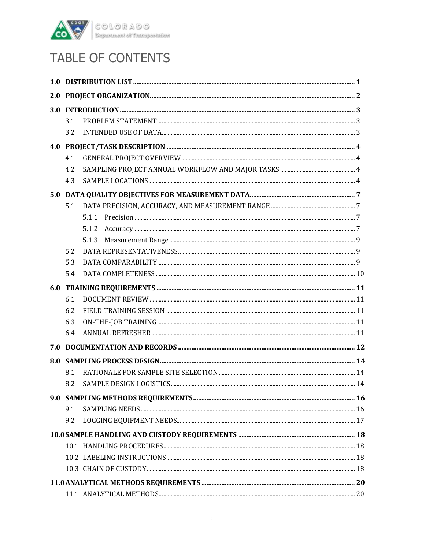

## TABLE OF CONTENTS

| 2.0 |     |                                                                                                                                                                                                                                                                                                                                                                                                                                                                                                                                                                  |  |
|-----|-----|------------------------------------------------------------------------------------------------------------------------------------------------------------------------------------------------------------------------------------------------------------------------------------------------------------------------------------------------------------------------------------------------------------------------------------------------------------------------------------------------------------------------------------------------------------------|--|
| 3.0 |     |                                                                                                                                                                                                                                                                                                                                                                                                                                                                                                                                                                  |  |
|     | 3.1 |                                                                                                                                                                                                                                                                                                                                                                                                                                                                                                                                                                  |  |
|     | 3.2 |                                                                                                                                                                                                                                                                                                                                                                                                                                                                                                                                                                  |  |
|     |     |                                                                                                                                                                                                                                                                                                                                                                                                                                                                                                                                                                  |  |
|     | 4.1 |                                                                                                                                                                                                                                                                                                                                                                                                                                                                                                                                                                  |  |
|     | 4.2 |                                                                                                                                                                                                                                                                                                                                                                                                                                                                                                                                                                  |  |
|     | 4.3 |                                                                                                                                                                                                                                                                                                                                                                                                                                                                                                                                                                  |  |
| 5.0 |     |                                                                                                                                                                                                                                                                                                                                                                                                                                                                                                                                                                  |  |
|     | 5.1 |                                                                                                                                                                                                                                                                                                                                                                                                                                                                                                                                                                  |  |
|     |     |                                                                                                                                                                                                                                                                                                                                                                                                                                                                                                                                                                  |  |
|     |     | $\large\bf Accuracy. \label{equ:1} \begin{minipage}{0.9\textwidth} \begin{minipage}{0.9\textwidth} \centering \begin{minipage}{0.9\textwidth} \centering \end{minipage} \begin{minipage}{0.9\textwidth} \centering \begin{minipage}{0.9\textwidth} \centering \end{minipage} \begin{minipage}{0.9\textwidth} \centering \end{minipage} \begin{minipage}{0.9\textwidth} \centering \end{minipage} \begin{minipage}{0.9\textwidth} \centering \end{minipage} \begin{minipage}{0.9\textwidth} \centering \end{minipage} \begin{minipage}{0.9\textwidth} \$<br>5.1.2 |  |
|     |     | 5.1.3                                                                                                                                                                                                                                                                                                                                                                                                                                                                                                                                                            |  |
|     | 5.2 |                                                                                                                                                                                                                                                                                                                                                                                                                                                                                                                                                                  |  |
|     | 5.3 |                                                                                                                                                                                                                                                                                                                                                                                                                                                                                                                                                                  |  |
|     | 5.4 |                                                                                                                                                                                                                                                                                                                                                                                                                                                                                                                                                                  |  |
| 6.0 |     |                                                                                                                                                                                                                                                                                                                                                                                                                                                                                                                                                                  |  |
|     | 6.1 |                                                                                                                                                                                                                                                                                                                                                                                                                                                                                                                                                                  |  |
|     | 6.2 |                                                                                                                                                                                                                                                                                                                                                                                                                                                                                                                                                                  |  |
|     | 6.3 |                                                                                                                                                                                                                                                                                                                                                                                                                                                                                                                                                                  |  |
|     | 6.4 |                                                                                                                                                                                                                                                                                                                                                                                                                                                                                                                                                                  |  |
| 7.0 |     |                                                                                                                                                                                                                                                                                                                                                                                                                                                                                                                                                                  |  |
| 8.0 |     |                                                                                                                                                                                                                                                                                                                                                                                                                                                                                                                                                                  |  |
|     | 8.1 |                                                                                                                                                                                                                                                                                                                                                                                                                                                                                                                                                                  |  |
|     | 8.2 |                                                                                                                                                                                                                                                                                                                                                                                                                                                                                                                                                                  |  |
|     |     |                                                                                                                                                                                                                                                                                                                                                                                                                                                                                                                                                                  |  |
|     | 9.1 |                                                                                                                                                                                                                                                                                                                                                                                                                                                                                                                                                                  |  |
|     | 9.2 |                                                                                                                                                                                                                                                                                                                                                                                                                                                                                                                                                                  |  |
|     |     |                                                                                                                                                                                                                                                                                                                                                                                                                                                                                                                                                                  |  |
|     |     |                                                                                                                                                                                                                                                                                                                                                                                                                                                                                                                                                                  |  |
|     |     |                                                                                                                                                                                                                                                                                                                                                                                                                                                                                                                                                                  |  |
|     |     |                                                                                                                                                                                                                                                                                                                                                                                                                                                                                                                                                                  |  |
|     |     |                                                                                                                                                                                                                                                                                                                                                                                                                                                                                                                                                                  |  |
|     |     |                                                                                                                                                                                                                                                                                                                                                                                                                                                                                                                                                                  |  |
|     |     |                                                                                                                                                                                                                                                                                                                                                                                                                                                                                                                                                                  |  |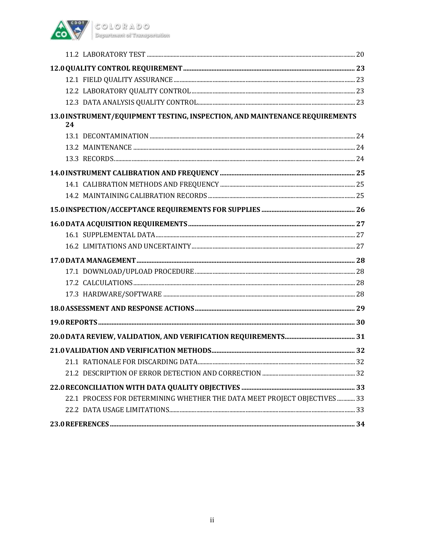

| 13.0 INSTRUMENT/EQUIPMENT TESTING, INSPECTION, AND MAINTENANCE REQUIREMENTS<br>24 |  |
|-----------------------------------------------------------------------------------|--|
|                                                                                   |  |
|                                                                                   |  |
|                                                                                   |  |
|                                                                                   |  |
|                                                                                   |  |
|                                                                                   |  |
|                                                                                   |  |
|                                                                                   |  |
|                                                                                   |  |
|                                                                                   |  |
|                                                                                   |  |
|                                                                                   |  |
|                                                                                   |  |
|                                                                                   |  |
|                                                                                   |  |
|                                                                                   |  |
|                                                                                   |  |
|                                                                                   |  |
|                                                                                   |  |
|                                                                                   |  |
|                                                                                   |  |
| 22.1 PROCESS FOR DETERMINING WHETHER THE DATA MEET PROJECT OBJECTIVES  33         |  |
|                                                                                   |  |
|                                                                                   |  |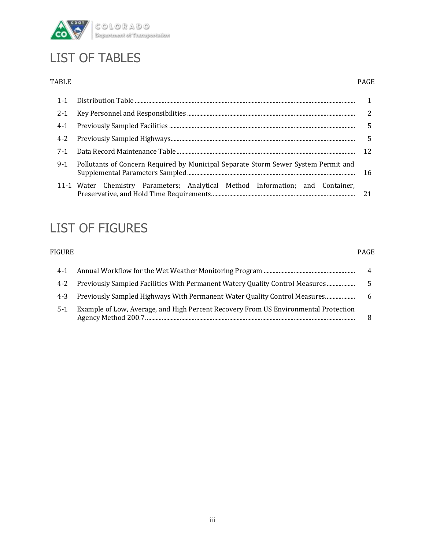

### LIST OF TABLES

#### TABLE PAGE

|                                                                                    | .5 |  |  |  |  |
|------------------------------------------------------------------------------------|----|--|--|--|--|
|                                                                                    |    |  |  |  |  |
|                                                                                    |    |  |  |  |  |
| Pollutants of Concern Required by Municipal Separate Storm Sewer System Permit and |    |  |  |  |  |
| 11-1 Water Chemistry Parameters; Analytical Method Information; and Container,     | 21 |  |  |  |  |
|                                                                                    |    |  |  |  |  |

### LIST OF FIGURES

#### FIGURE PAGE

| $4 - 1$ |                                                                                     | 4   |
|---------|-------------------------------------------------------------------------------------|-----|
|         | 4-2 Previously Sampled Facilities With Permanent Watery Quality Control Measures    |     |
|         | 4-3 Previously Sampled Highways With Permanent Water Quality Control Measures       | - 6 |
| $5-1$   | Example of Low, Average, and High Percent Recovery From US Environmental Protection |     |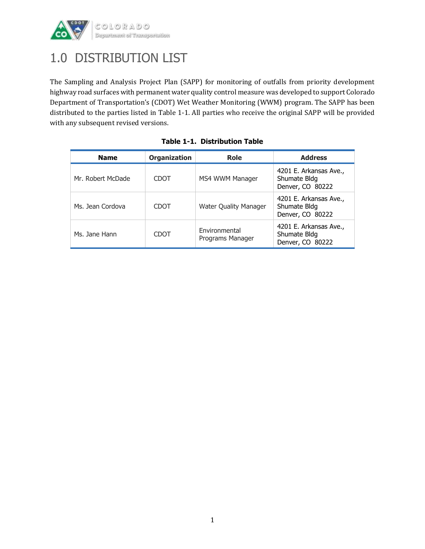

### 1.0 DISTRIBUTION LIST

The Sampling and Analysis Project Plan (SAPP) for monitoring of outfalls from priority development highway road surfaces with permanent water quality control measure was developed to support Colorado Department of Transportation's (CDOT) Wet Weather Monitoring (WWM) program. The SAPP has been distributed to the parties listed in Table 1-1. All parties who receive the original SAPP will be provided with any subsequent revised versions.

| <b>Name</b>       | <b>Organization</b> | <b>Role</b>                       | <b>Address</b>                                             |
|-------------------|---------------------|-----------------------------------|------------------------------------------------------------|
| Mr. Robert McDade | CDOT                | MS4 WWM Manager                   | 4201 E. Arkansas Ave.,<br>Shumate Bldg<br>Denver, CO 80222 |
| Ms. Jean Cordova  | CDOT                | <b>Water Quality Manager</b>      | 4201 E. Arkansas Ave.,<br>Shumate Bldg<br>Denver, CO 80222 |
| Ms. Jane Hann     | CDOT                | Environmental<br>Programs Manager | 4201 E. Arkansas Ave.,<br>Shumate Bldg<br>Denver, CO 80222 |

|  | Table 1-1. Distribution Table |  |
|--|-------------------------------|--|
|  |                               |  |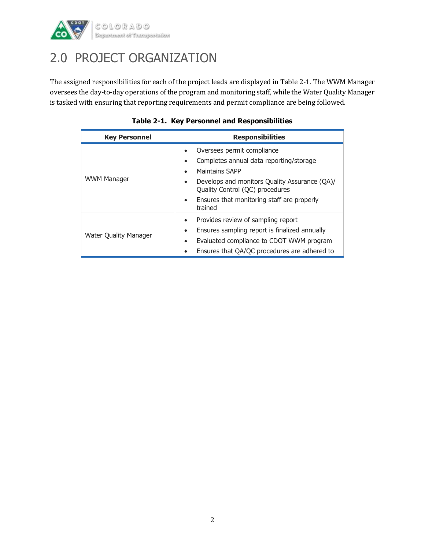

### 2.0 PROJECT ORGANIZATION

The assigned responsibilities for each of the project leads are displayed in Table 2-1. The WWM Manager oversees the day-to-day operations of the program and monitoring staff, while the Water Quality Manager is tasked with ensuring that reporting requirements and permit compliance are being followed.

| <b>Key Personnel</b>         | <b>Responsibilities</b>                                                                                                                                                                                                                |  |  |  |  |
|------------------------------|----------------------------------------------------------------------------------------------------------------------------------------------------------------------------------------------------------------------------------------|--|--|--|--|
| <b>WWM Manager</b>           | Oversees permit compliance<br>$\bullet$<br>Completes annual data reporting/storage<br>$\bullet$<br><b>Maintains SAPP</b><br>$\bullet$<br>Develops and monitors Quality Assurance (QA)/<br>$\bullet$<br>Quality Control (QC) procedures |  |  |  |  |
|                              | Ensures that monitoring staff are properly<br>$\bullet$<br>trained                                                                                                                                                                     |  |  |  |  |
| <b>Water Quality Manager</b> | Provides review of sampling report<br>$\bullet$<br>Ensures sampling report is finalized annually<br>$\bullet$<br>Evaluated compliance to CDOT WWM program<br>$\bullet$<br>Ensures that QA/QC procedures are adhered to<br>$\bullet$    |  |  |  |  |

|  |  | Table 2-1. Key Personnel and Responsibilities |
|--|--|-----------------------------------------------|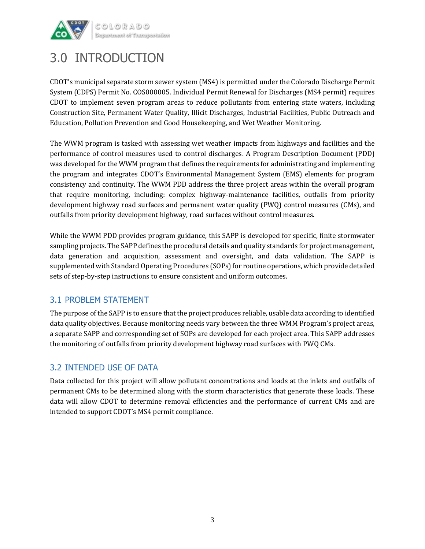

### 3.0 INTRODUCTION

CDOT's municipal separate storm sewer system (MS4) is permitted under the Colorado Discharge Permit System (CDPS) Permit No. COS000005. Individual Permit Renewal for Discharges (MS4 permit) requires CDOT to implement seven program areas to reduce pollutants from entering state waters, including Construction Site, Permanent Water Quality, Illicit Discharges, Industrial Facilities, Public Outreach and Education, Pollution Prevention and Good Housekeeping, and Wet Weather Monitoring.

The WWM program is tasked with assessing wet weather impacts from highways and facilities and the performance of control measures used to control discharges. A Program Description Document (PDD) was developed for the WWM program that defines the requirements for administrating and implementing the program and integrates CDOT's Environmental Management System (EMS) elements for program consistency and continuity. The WWM PDD address the three project areas within the overall program that require monitoring, including: complex highway-maintenance facilities, outfalls from priority development highway road surfaces and permanent water quality (PWQ) control measures (CMs), and outfalls from priority development highway, road surfaces without control measures.

While the WWM PDD provides program guidance, this SAPP is developed for specific, finite stormwater sampling projects. The SAPP defines the procedural details and quality standards for project management, data generation and acquisition, assessment and oversight, and data validation. The SAPP is supplemented with Standard Operating Procedures (SOPs) for routine operations, which provide detailed sets of step-by-step instructions to ensure consistent and uniform outcomes.

#### 3.1 PROBLEM STATEMENT

The purpose of the SAPP is to ensure that the project produces reliable, usable data according to identified data quality objectives. Because monitoring needs vary between the three WMM Program's project areas, a separate SAPP and corresponding set of SOPs are developed for each project area. This SAPP addresses the monitoring of outfalls from priority development highway road surfaces with PWQ CMs.

#### 3.2 INTENDED USE OF DATA

Data collected for this project will allow pollutant concentrations and loads at the inlets and outfalls of permanent CMs to be determined along with the storm characteristics that generate these loads. These data will allow CDOT to determine removal efficiencies and the performance of current CMs and are intended to support CDOT's MS4 permit compliance.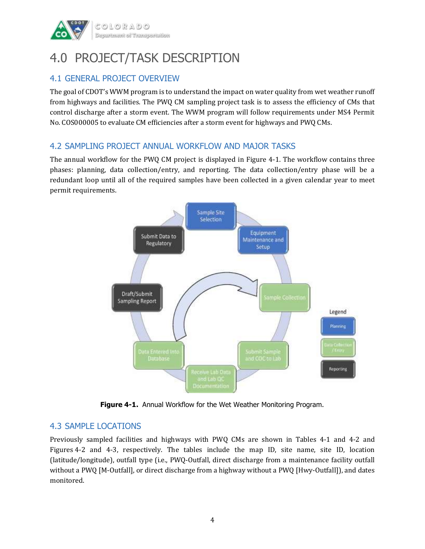

### 4.0 PROJECT/TASK DESCRIPTION

#### 4.1 GENERAL PROJECT OVERVIEW

The goal of CDOT's WWM program is to understand the impact on water quality from wet weather runoff from highways and facilities. The PWQ CM sampling project task is to assess the efficiency of CMs that control discharge after a storm event. The WWM program will follow requirements under MS4 Permit No. COS000005 to evaluate CM efficiencies after a storm event for highways and PWQ CMs.

#### 4.2 SAMPLING PROJECT ANNUAL WORKFLOW AND MAJOR TASKS

The annual workflow for the PWQ CM project is displayed in Figure 4-1. The workflow contains three phases: planning, data collection/entry, and reporting. The data collection/entry phase will be a redundant loop until all of the required samples have been collected in a given calendar year to meet permit requirements.



**Figure 4-1.** Annual Workflow for the Wet Weather Monitoring Program.

#### 4.3 SAMPLE LOCATIONS

Previously sampled facilities and highways with PWQ CMs are shown in Tables 4-1 and 4-2 and Figures 4-2 and 4-3, respectively. The tables include the map ID, site name, site ID, location (latitude/longitude), outfall type (i.e., PWQ-Outfall, direct discharge from a maintenance facility outfall without a PWQ [M-Outfall], or direct discharge from a highway without a PWQ [Hwy-Outfall]), and dates monitored.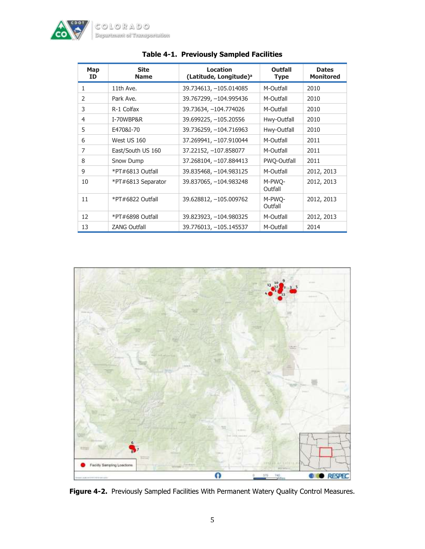

| Map<br>ID      | <b>Site</b><br><b>Name</b> | <b>Location</b><br>(Latitude, Longitude) <sup>a</sup> | Outfall<br><b>Type</b> | <b>Dates</b><br><b>Monitored</b> |
|----------------|----------------------------|-------------------------------------------------------|------------------------|----------------------------------|
| 1              | 11th Ave.                  | 39.734613, -105.014085                                | M-Outfall              | 2010                             |
| 2              | Park Ave.                  | 39.767299, -104.995436                                | M-Outfall              | 2010                             |
| 3              | R-1 Colfax                 | 39.73634, -104.774026                                 | M-Outfall              | 2010                             |
| $\overline{4}$ | I-70WBP&R                  | 39.699225, -105.20556                                 | Hwy-Outfall            | 2010                             |
| 5              | E470&I-70                  | 39.736259, -104.716963                                | Hwy-Outfall            | 2010                             |
| 6              | West US 160                | 37.269941, -107.910044                                | M-Outfall              | 2011                             |
| $\overline{7}$ | East/South US 160          | 37.22152, -107.858077                                 | M-Outfall              | 2011                             |
| 8              | Snow Dump                  | 37.268104, -107.884413                                | <b>PWO-Outfall</b>     | 2011                             |
| 9              | *PT#6813 Outfall           | 39.835468, -104.983125                                | M-Outfall              | 2012, 2013                       |
| 10             | *PT#6813 Separator         | 39.837065, -104.983248                                | M-PWO-<br>Outfall      | 2012, 2013                       |
| 11             | *PT#6822 Outfall           | 39.628812, -105.009762                                | M-PWO-<br>Outfall      | 2012, 2013                       |
| 12             | *PT#6898 Outfall           | 39.823923, -104.980325                                | M-Outfall              | 2012, 2013                       |
| 13             | <b>ZANG Outfall</b>        | 39.776013, -105.145537                                | M-Outfall              | 2014                             |

#### **Table 4-1. Previously Sampled Facilities**



**Figure 4-2.** Previously Sampled Facilities With Permanent Watery Quality Control Measures.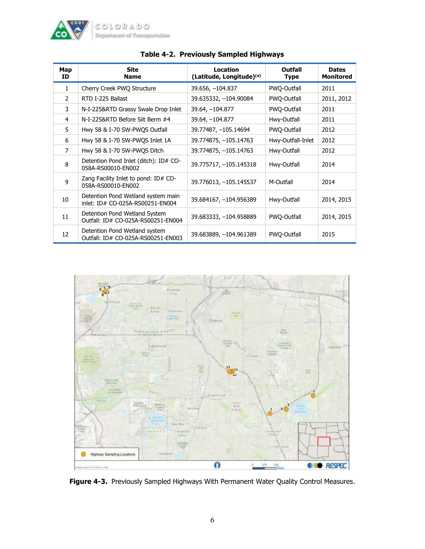

| Map<br>ID      | <b>Site</b><br><b>Name</b>                                             | Location<br>(Latitude, Longitude)(a) | Outfall<br>Type   | <b>Dates</b><br><b>Monitored</b> |
|----------------|------------------------------------------------------------------------|--------------------------------------|-------------------|----------------------------------|
| 1              | Cherry Creek PWQ Structure                                             | 39.656, -104.837                     | PWQ-Outfall       | 2011                             |
| $\mathcal{P}$  | RTD I-225 Ballast                                                      | 39.635332, -104.90084                | PWO-Outfall       | 2011, 2012                       |
| 3              | N-I-225&RTD Grassy Swale Drop Inlet                                    | 39.64, -104.877                      | PWQ-Outfall       | 2011                             |
| 4              | N-I-225&RTD Before Silt Berm #4                                        | 39.64, -104.877                      | Hwy-Outfall       | 2011                             |
| 5              | Hwy 58 & I-70 SW-PWQS Outfall                                          | 39.77487, -105.14694                 | PWQ-Outfall       | 2012                             |
| 6              | Hwy 58 & I-70 SW-PWQS Inlet 1A                                         | 39.774875, -105.14763                | Hwy-Outfall-Inlet | 2012                             |
| $\overline{7}$ | Hwy 58 & I-70 SW-PWQS Ditch                                            | 39.774875, -105.14763                | Hwy-Outfall       | 2012                             |
| 8              | Detention Pond Inlet (ditch): ID# CO-<br>058A-RS00010-EN002            | 39.775717, -105.145318               | Hwy-Outfall       | 2014                             |
| 9              | Zang Facility Inlet to pond: ID# CO-<br>058A-RS00010-EN002             | 39.776013, -105.145537               | M-Outfall         | 2014                             |
| 10             | Detention Pond Wetland system main<br>inlet: ID# CO-025A-RS00251-EN004 | 39.684167, -104.956389               | Hwy-Outfall       | 2014, 2015                       |
| 11             | Detention Pond Wetland System<br>Outfall: ID# CO-025A-RS00251-EN004    | 39.683333, -104.958889               | PWQ-Outfall       | 2014, 2015                       |
| 12             | Detention Pond Wetland system<br>Outfall: ID# CO-025A-RS00251-EN003    | 39.683889, -104.961389               | PWQ-Outfall       | 2015                             |

#### **Table 4-2. Previously Sampled Highways**



**Figure 4-3.** Previously Sampled Highways With Permanent Water Quality Control Measures.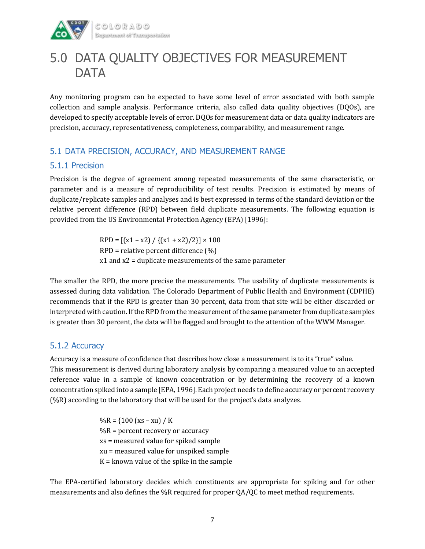

### 5.0 DATA QUALITY OBJECTIVES FOR MEASUREMENT **DATA**

Any monitoring program can be expected to have some level of error associated with both sample collection and sample analysis. Performance criteria, also called data quality objectives (DQOs), are developed to specify acceptable levels of error. DQOs for measurement data or data quality indicators are precision, accuracy, representativeness, completeness, comparability, and measurement range.

#### 5.1 DATA PRECISION, ACCURACY, AND MEASUREMENT RANGE

#### 5.1.1 Precision

Precision is the degree of agreement among repeated measurements of the same characteristic, or parameter and is a measure of reproducibility of test results. Precision is estimated by means of duplicate/replicate samples and analyses and is best expressed in terms of the standard deviation or the relative percent difference (RPD) between field duplicate measurements. The following equation is provided from the US Environmental Protection Agency (EPA) [1996]:

> $RPD = [(x1 - x2) / {(x1 + x2) / 2}] \times 100$ RPD = relative percent difference (%) x1 and x2 = duplicate measurements of the same parameter

The smaller the RPD, the more precise the measurements. The usability of duplicate measurements is assessed during data validation. The Colorado Department of Public Health and Environment (CDPHE) recommends that if the RPD is greater than 30 percent, data from that site will be either discarded or interpreted with caution. If the RPD from the measurement of the same parameter from duplicate samples is greater than 30 percent, the data will be flagged and brought to the attention of the WWM Manager.

#### 5.1.2 Accuracy

Accuracy is a measure of confidence that describes how close a measurement is to its "true" value. This measurement is derived during laboratory analysis by comparing a measured value to an accepted reference value in a sample of known concentration or by determining the recovery of a known concentration spiked into a sample [EPA, 1996]. Each project needs to define accuracy or percent recovery (%R) according to the laboratory that will be used for the project's data analyzes.

> $\%R = \{100$  (xs – xu) / K  $%R =$  percent recovery or accuracy xs = measured value for spiked sample xu = measured value for unspiked sample  $K =$  known value of the spike in the sample

The EPA-certified laboratory decides which constituents are appropriate for spiking and for other measurements and also defines the %R required for proper QA/QC to meet method requirements.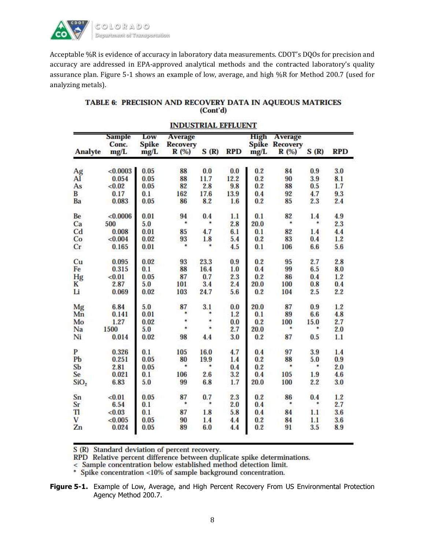

Acceptable %R is evidence of accuracy in laboratory data measurements. CDOT's DQOs for precision and accuracy are addressed in EPA-approved analytical methods and the contracted laboratory's quality assurance plan. Figure 5-1 shows an example of low, average, and high %R for Method 200.7 (used for analyzing metals).

#### TABLE 6: PRECISION AND RECOVERY DATA IN AQUEOUS MATRICES (Cont'd)

|                  | <b>Sample</b><br>Conc. | Low<br><b>Spike</b> | <b>Average</b><br><b>Recovery</b> |         |            | High | <b>Average</b><br><b>Spike Recovery</b> |      |            |
|------------------|------------------------|---------------------|-----------------------------------|---------|------------|------|-----------------------------------------|------|------------|
| <b>Analyte</b>   | mg/L                   | mg/L                | R(%)                              | S(R)    | <b>RPD</b> | mg/L | R (%)                                   | S(R) | <b>RPD</b> |
| Ag               | < 0.0003               | 0.05                | 88                                | 0.0     | 0.0        | 0.2  | 84                                      | 0.9  | 3.0        |
| AĬ               | 0.054                  | 0.05                | 88                                | 11.7    | 12.2       | 0.2  | 90                                      | 3.9  | 8.1        |
| As               | < 0.02                 | 0.05                | 82                                | 2.8     | 9.8        | 0.2  | 88                                      | 0.5  | 1.7        |
| $\overline{B}$   | 0.17                   | 0.1                 | 162                               | 17.6    | 13.9       | 0.4  | 92                                      | 4.7  | 9.3        |
| Ba               | 0.083                  | 0.05                | 86                                | 8.2     | 1.6        | 0.2  | 85                                      | 2.3  | 2.4        |
| Be               | < 0.0006               | 0.01                | 94                                | 0.4     | 1.1        | 0.1  | 82                                      | 1.4  | 4.9        |
| Ca               | 500                    | 5.0                 | $\ast$                            | *       | 2.8        | 20.0 | *                                       | *    | 2.3        |
| C <sub>d</sub>   | 0.008                  | 0.01                | 85                                | 4.7     | 6.1        | 0.1  | 82                                      | 1.4  | 4.4        |
| Co               | < 0.004                | 0.02                | 93                                | 1.8     | 5.4        | 0.2  | 83                                      | 0.4  | 1.2        |
| Cr               | 0.165                  | 0.01                | $\ast$                            | $\ast$  | 4.5        | 0.1  | 106                                     | 6.6  | 5.6        |
| Cu               | 0.095                  | 0.02                | 93                                | 23.3    | 0.9        | 0.2  | 95                                      | 2.7  | 2.8        |
| Fe               | 0.315                  | 0.1                 | 88                                | 16.4    | 1.0        | 0.4  | 99                                      | 6.5  | 8.0        |
| Hg               | < 0.01                 | 0.05                | 87                                | 0.7     | 2.3        | 0.2  | 86                                      | 0.4  | 1.2        |
| K                | 2.87                   | 5.0                 | 101                               | 3.4     | 2.4        | 20.0 | 100                                     | 0.8  | 0.4        |
| Li               | 0.069                  | 0.02                | 103                               | 24.7    | 5.6        | 0.2  | 104                                     | 2.5  | 2.2        |
| Mg               | 6.84                   | 5.0                 | 87                                | 3.1     | 0.0        | 20.0 | 87                                      | 0.9  | 1.2        |
| Mn               | 0.141                  | 0.01                |                                   |         | 1.2        | 0.1  | 89                                      | 6.6  | 4.8        |
| Mo               | 1.27                   | 0.02                | ź                                 | *       | 0.0        | 0.2  | 100                                     | 15.0 | 2.7        |
| Na               | 1500                   | 5.0                 | ¥                                 | ¥       | 2.7        | 20.0 | ×.                                      | *    | 2.0        |
| Ni               | 0.014                  | 0.02                | 98                                | 4.4     | 3.0        | 0.2  | 87                                      | 0.5  | 1.1        |
| P                | 0.326                  | 0.1                 | 105                               | 16.0    | 4.7        | 0.4  | 97                                      | 3.9  | 1.4        |
| Pb               | 0.251                  | 0.05                | 80                                | 19.9    | 1.4        | 0.2  | 88                                      | 5.0  | 0.9        |
| Sb               | 2.81                   | 0.05                | *                                 | *       | 0.4        | 0.2  |                                         | ₩    | 2.0        |
| Se               | 0.021                  | 0.1                 | 106                               | 2.6     | 3.2        | 0.4  | 105                                     | 1.9  | 4.6        |
| SiO <sub>2</sub> | 6.83                   | 5.0                 | 99                                | 6.8     | 1.7        | 20.0 | 100                                     | 2.2  | 3.0        |
| Sn               | < 0.01                 | 0.05                | 87                                | 0.7     | 2.3        | 0.2  | 86                                      | 0.4  | 1.2        |
| $S_{\Gamma}$     | 6.54                   | 0.1                 | ۰                                 | $\star$ | 2.0        | 0.4  | ٠                                       | ۰    | 2.7        |
| Tl               | < 0.03                 | 0.1                 | 87                                | 1.8     | 5.8        | 0.4  | 84                                      | 1.1  | 3.6        |
| V                | < 0.005                | 0.05                | 90                                | 1.4     | 4.4        | 0.2  | 84                                      | 1.1  | 3.6        |
| Zn               | 0.024                  | 0.05                | 89                                | 6.0     | 4.4        | 0.2  | 91                                      | 3.5  | 8.9        |

#### **INDUSTRIAL EFFLUENT**

S (R) Standard deviation of percent recovery.

S (k) standard deviation of percent recovery.<br>RPD Relative percent difference between duplicate spike determinations.<br>
< Sample concentration below established method detection limit.<br>
\* Spike concentration <10% of sample

**Figure 5-1.** Example of Low, Average, and High Percent Recovery From US Environmental Protection Agency Method 200.7.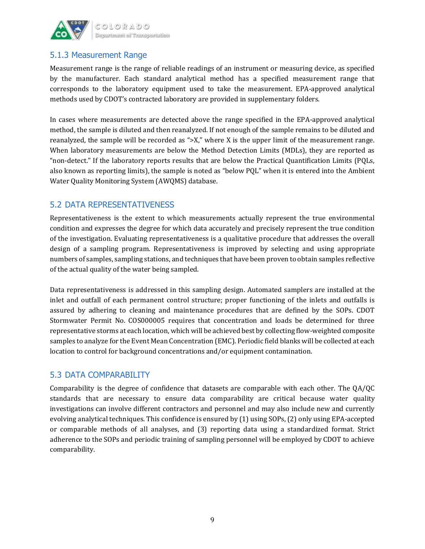

#### 5.1.3 Measurement Range

Measurement range is the range of reliable readings of an instrument or measuring device, as specified by the manufacturer. Each standard analytical method has a specified measurement range that corresponds to the laboratory equipment used to take the measurement. EPA-approved analytical methods used by CDOT's contracted laboratory are provided in supplementary folders.

In cases where measurements are detected above the range specified in the EPA-approved analytical method, the sample is diluted and then reanalyzed. If not enough of the sample remains to be diluted and reanalyzed, the sample will be recorded as ">X," where X is the upper limit of the measurement range. When laboratory measurements are below the Method Detection Limits (MDLs), they are reported as "non-detect." If the laboratory reports results that are below the Practical Quantification Limits (PQLs, also known as reporting limits), the sample is noted as "below PQL" when it is entered into the Ambient Water Quality Monitoring System (AWQMS) database.

#### 5.2 DATA REPRESENTATIVENESS

Representativeness is the extent to which measurements actually represent the true environmental condition and expresses the degree for which data accurately and precisely represent the true condition of the investigation. Evaluating representativeness is a qualitative procedure that addresses the overall design of a sampling program. Representativeness is improved by selecting and using appropriate numbers of samples, sampling stations, and techniques that have been proven to obtain samples reflective of the actual quality of the water being sampled.

Data representativeness is addressed in this sampling design. Automated samplers are installed at the inlet and outfall of each permanent control structure; proper functioning of the inlets and outfalls is assured by adhering to cleaning and maintenance procedures that are defined by the SOPs. CDOT Stormwater Permit No. COS000005 requires that concentration and loads be determined for three representative storms at each location, which will be achieved best by collecting flow-weighted composite samples to analyze for the Event Mean Concentration (EMC). Periodic field blanks will be collected at each location to control for background concentrations and/or equipment contamination.

#### 5.3 DATA COMPARABILITY

Comparability is the degree of confidence that datasets are comparable with each other. The QA/QC standards that are necessary to ensure data comparability are critical because water quality investigations can involve different contractors and personnel and may also include new and currently evolving analytical techniques. This confidence is ensured by (1) using SOPs, (2) only using EPA-accepted or comparable methods of all analyses, and (3) reporting data using a standardized format. Strict adherence to the SOPs and periodic training of sampling personnel will be employed by CDOT to achieve comparability.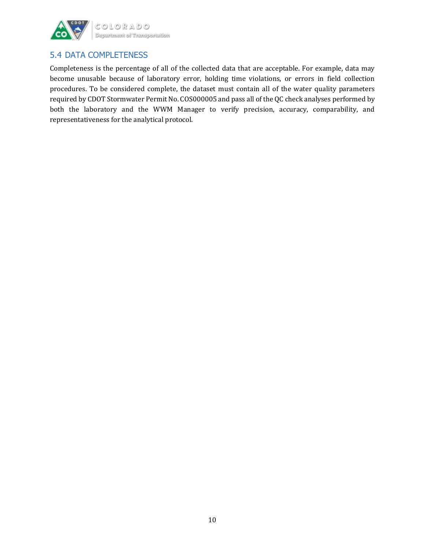

#### 5.4 DATA COMPLETENESS

Completeness is the percentage of all of the collected data that are acceptable. For example, data may become unusable because of laboratory error, holding time violations, or errors in field collection procedures. To be considered complete, the dataset must contain all of the water quality parameters required by CDOT Stormwater Permit No. COS000005 and pass all of the QC check analyses performed by both the laboratory and the WWM Manager to verify precision, accuracy, comparability, and representativeness for the analytical protocol.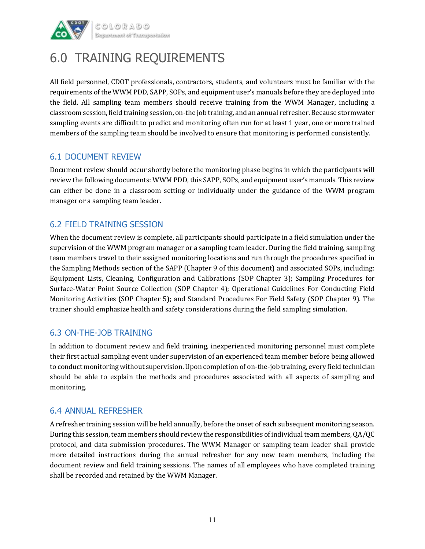

### 6.0 TRAINING REQUIREMENTS

All field personnel, CDOT professionals, contractors, students, and volunteers must be familiar with the requirements of the WWM PDD, SAPP, SOPs, and equipment user's manuals before they are deployed into the field. All sampling team members should receive training from the WWM Manager, including a classroom session, field training session, on-the job training, and an annual refresher. Because stormwater sampling events are difficult to predict and monitoring often run for at least 1 year, one or more trained members of the sampling team should be involved to ensure that monitoring is performed consistently.

#### 6.1 DOCUMENT REVIEW

Document review should occur shortly before the monitoring phase begins in which the participants will review the following documents: WWM PDD, this SAPP, SOPs, and equipment user's manuals. This review can either be done in a classroom setting or individually under the guidance of the WWM program manager or a sampling team leader.

#### 6.2 FIELD TRAINING SESSION

When the document review is complete, all participants should participate in a field simulation under the supervision of the WWM program manager or a sampling team leader. During the field training, sampling team members travel to their assigned monitoring locations and run through the procedures specified in the Sampling Methods section of the SAPP (Chapter 9 of this document) and associated SOPs, including: Equipment Lists, Cleaning, Configuration and Calibrations (SOP Chapter 3); Sampling Procedures for Surface-Water Point Source Collection (SOP Chapter 4); Operational Guidelines For Conducting Field Monitoring Activities (SOP Chapter 5); and Standard Procedures For Field Safety (SOP Chapter 9). The trainer should emphasize health and safety considerations during the field sampling simulation.

#### 6.3 ON-THE-JOB TRAINING

In addition to document review and field training, inexperienced monitoring personnel must complete their first actual sampling event under supervision of an experienced team member before being allowed to conduct monitoring without supervision. Upon completion of on-the-job training, every field technician should be able to explain the methods and procedures associated with all aspects of sampling and monitoring.

#### 6.4 ANNUAL REFRESHER

A refresher training session will be held annually, before the onset of each subsequent monitoring season. During this session, team members should review the responsibilities of individual team members, QA/QC protocol, and data submission procedures. The WWM Manager or sampling team leader shall provide more detailed instructions during the annual refresher for any new team members, including the document review and field training sessions. The names of all employees who have completed training shall be recorded and retained by the WWM Manager.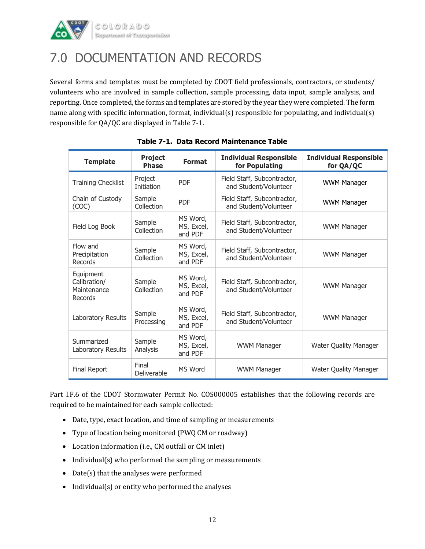

### 7.0 DOCUMENTATION AND RECORDS

Several forms and templates must be completed by CDOT field professionals, contractors, or students/ volunteers who are involved in sample collection, sample processing, data input, sample analysis, and reporting. Once completed, the forms and templates are stored by the year they were completed. The form name along with specific information, format, individual(s) responsible for populating, and individual(s) responsible for QA/QC are displayed in Table 7-1.

| <b>Template</b>                                     | <b>Project</b><br><b>Phase</b> | <b>Format</b>                     | <b>Individual Responsible</b><br>for Populating      | <b>Individual Responsible</b><br>for QA/QC |
|-----------------------------------------------------|--------------------------------|-----------------------------------|------------------------------------------------------|--------------------------------------------|
| <b>Training Checklist</b>                           | Project<br><b>Initiation</b>   | <b>PDF</b>                        | Field Staff, Subcontractor,<br>and Student/Volunteer | <b>WWM Manager</b>                         |
| Chain of Custody<br>(COC)                           | Sample<br>Collection           | <b>PDF</b>                        | Field Staff, Subcontractor,<br>and Student/Volunteer | <b>WWM Manager</b>                         |
| Field Log Book                                      | Sample<br>Collection           | MS Word,<br>MS, Excel,<br>and PDF | Field Staff, Subcontractor,<br>and Student/Volunteer | <b>WWM Manager</b>                         |
| Flow and<br>Precipitation<br>Records                | Sample<br>Collection           | MS Word,<br>MS, Excel,<br>and PDF | Field Staff, Subcontractor,<br>and Student/Volunteer | <b>WWM Manager</b>                         |
| Equipment<br>Calibration/<br>Maintenance<br>Records | Sample<br>Collection           | MS Word,<br>MS, Excel,<br>and PDF | Field Staff, Subcontractor,<br>and Student/Volunteer | <b>WWM Manager</b>                         |
| Laboratory Results                                  | Sample<br>Processing           | MS Word,<br>MS, Excel,<br>and PDF | Field Staff, Subcontractor,<br>and Student/Volunteer | <b>WWM Manager</b>                         |
| Summarized<br>Laboratory Results                    | Sample<br>Analysis             | MS Word,<br>MS, Excel,<br>and PDF | <b>WWM Manager</b>                                   | <b>Water Quality Manager</b>               |
| Final Report                                        | Final<br>Deliverable           | MS Word                           | <b>WWM Manager</b>                                   | Water Quality Manager                      |

**Table 7-1. Data Record Maintenance Table**

Part I.F.6 of the CDOT Stormwater Permit No. COS000005 establishes that the following records are required to be maintained for each sample collected:

- Date, type, exact location, and time of sampling or measurements
- Type of location being monitored (PWQ CM or roadway)
- Location information (i.e., CM outfall or CM inlet)
- $\bullet$  Individual(s) who performed the sampling or measurements
- Date(s) that the analyses were performed
- Individual(s) or entity who performed the analyses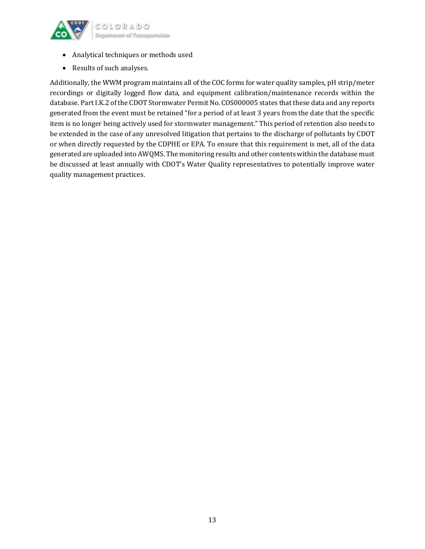

OLORADO Deportment of Transportation

- Analytical techniques or methods used
- Results of such analyses.

Additionally, the WWM program maintains all of the COC forms for water quality samples, pH strip/meter recordings or digitally logged flow data, and equipment calibration/maintenance records within the database. Part I.K.2 of the CDOT Stormwater Permit No. COS000005 states that these data and any reports generated from the event must be retained "for a period of at least 3 years from the date that the specific item is no longer being actively used for stormwater management." This period of retention also needs to be extended in the case of any unresolved litigation that pertains to the discharge of pollutants by CDOT or when directly requested by the CDPHE or EPA. To ensure that this requirement is met, all of the data generated are uploaded into AWQMS. The monitoring results and other contents within the database must be discussed at least annually with CDOT's Water Quality representatives to potentially improve water quality management practices.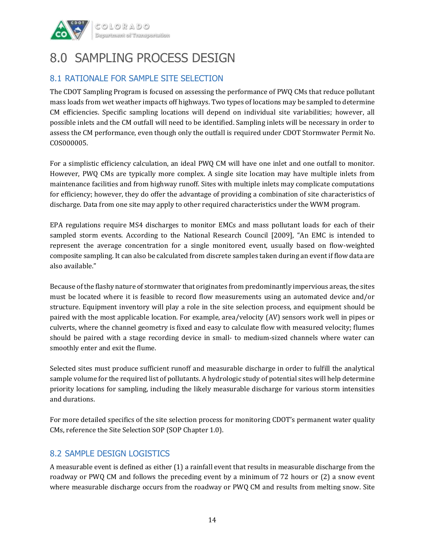

### 8.0 SAMPLING PROCESS DESIGN

#### 8.1 RATIONALE FOR SAMPLE SITE SELECTION

The CDOT Sampling Program is focused on assessing the performance of PWQ CMs that reduce pollutant mass loads from wet weather impacts off highways. Two types of locations may be sampled to determine CM efficiencies. Specific sampling locations will depend on individual site variabilities; however, all possible inlets and the CM outfall will need to be identified. Sampling inlets will be necessary in order to assess the CM performance, even though only the outfall is required under CDOT Stormwater Permit No. COS000005.

For a simplistic efficiency calculation, an ideal PWQ CM will have one inlet and one outfall to monitor. However, PWQ CMs are typically more complex. A single site location may have multiple inlets from maintenance facilities and from highway runoff. Sites with multiple inlets may complicate computations for efficiency; however, they do offer the advantage of providing a combination of site characteristics of discharge. Data from one site may apply to other required characteristics under the WWM program.

EPA regulations require MS4 discharges to monitor EMCs and mass pollutant loads for each of their sampled storm events. According to the National Research Council [2009], "An EMC is intended to represent the average concentration for a single monitored event, usually based on flow-weighted composite sampling. It can also be calculated from discrete samples taken during an event if flow data are also available."

Because of the flashy nature of stormwater that originates from predominantly impervious areas, the sites must be located where it is feasible to record flow measurements using an automated device and/or structure. Equipment inventory will play a role in the site selection process, and equipment should be paired with the most applicable location. For example, area/velocity (AV) sensors work well in pipes or culverts, where the channel geometry is fixed and easy to calculate flow with measured velocity; flumes should be paired with a stage recording device in small- to medium-sized channels where water can smoothly enter and exit the flume.

Selected sites must produce sufficient runoff and measurable discharge in order to fulfill the analytical sample volume for the required list of pollutants. A hydrologic study of potential sites will help determine priority locations for sampling, including the likely measurable discharge for various storm intensities and durations.

For more detailed specifics of the site selection process for monitoring CDOT's permanent water quality CMs, reference the Site Selection SOP (SOP Chapter 1.0).

#### 8.2 SAMPLE DESIGN LOGISTICS

A measurable event is defined as either (1) a rainfall event that results in measurable discharge from the roadway or PWQ CM and follows the preceding event by a minimum of 72 hours or (2) a snow event where measurable discharge occurs from the roadway or PWQ CM and results from melting snow. Site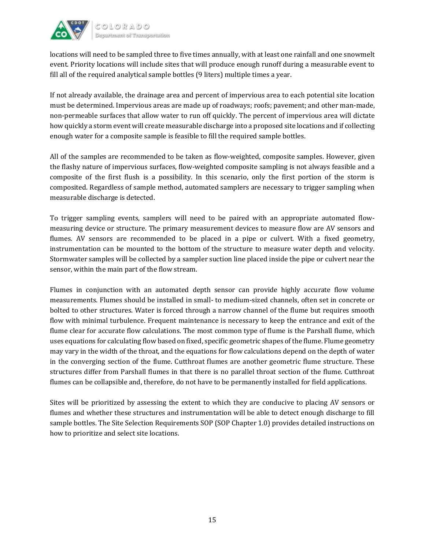

locations will need to be sampled three to five times annually, with at least one rainfall and one snowmelt event. Priority locations will include sites that will produce enough runoff during a measurable event to fill all of the required analytical sample bottles (9 liters) multiple times a year.

If not already available, the drainage area and percent of impervious area to each potential site location must be determined. Impervious areas are made up of roadways; roofs; pavement; and other man-made, non-permeable surfaces that allow water to run off quickly. The percent of impervious area will dictate how quickly a storm event will create measurable discharge into a proposed site locations and if collecting enough water for a composite sample is feasible to fill the required sample bottles.

All of the samples are recommended to be taken as flow-weighted, composite samples. However, given the flashy nature of impervious surfaces, flow-weighted composite sampling is not always feasible and a composite of the first flush is a possibility. In this scenario, only the first portion of the storm is composited. Regardless of sample method, automated samplers are necessary to trigger sampling when measurable discharge is detected.

To trigger sampling events, samplers will need to be paired with an appropriate automated flowmeasuring device or structure. The primary measurement devices to measure flow are AV sensors and flumes. AV sensors are recommended to be placed in a pipe or culvert. With a fixed geometry, instrumentation can be mounted to the bottom of the structure to measure water depth and velocity. Stormwater samples will be collected by a sampler suction line placed inside the pipe or culvert near the sensor, within the main part of the flow stream.

Flumes in conjunction with an automated depth sensor can provide highly accurate flow volume measurements. Flumes should be installed in small- to medium-sized channels, often set in concrete or bolted to other structures. Water is forced through a narrow channel of the flume but requires smooth flow with minimal turbulence. Frequent maintenance is necessary to keep the entrance and exit of the flume clear for accurate flow calculations. The most common type of flume is the Parshall flume, which uses equations for calculating flow based on fixed, specific geometric shapes of the flume. Flume geometry may vary in the width of the throat, and the equations for flow calculations depend on the depth of water in the converging section of the flume. Cutthroat flumes are another geometric flume structure. These structures differ from Parshall flumes in that there is no parallel throat section of the flume. Cutthroat flumes can be collapsible and, therefore, do not have to be permanently installed for field applications.

Sites will be prioritized by assessing the extent to which they are conducive to placing AV sensors or flumes and whether these structures and instrumentation will be able to detect enough discharge to fill sample bottles. The Site Selection Requirements SOP (SOP Chapter 1.0) provides detailed instructions on how to prioritize and select site locations.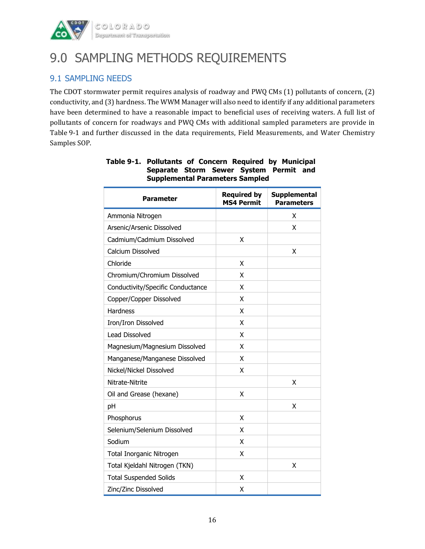

### 9.0 SAMPLING METHODS REQUIREMENTS

#### 9.1 SAMPLING NEEDS

The CDOT stormwater permit requires analysis of roadway and PWQ CMs (1) pollutants of concern, (2) conductivity, and (3) hardness. The WWM Manager will also need to identify if any additional parameters have been determined to have a reasonable impact to beneficial uses of receiving waters. A full list of pollutants of concern for roadways and PWQ CMs with additional sampled parameters are provide in Table 9-1 and further discussed in the data requirements, Field Measurements, and Water Chemistry Samples SOP.

| <b>Parameter</b>                  | <b>Required by</b><br><b>MS4 Permit</b> | <b>Supplemental</b><br><b>Parameters</b> |
|-----------------------------------|-----------------------------------------|------------------------------------------|
| Ammonia Nitrogen                  |                                         | x                                        |
| Arsenic/Arsenic Dissolved         |                                         | x                                        |
| Cadmium/Cadmium Dissolved         | X                                       |                                          |
| Calcium Dissolved                 |                                         | X                                        |
| Chloride                          | X                                       |                                          |
| Chromium/Chromium Dissolved       | X                                       |                                          |
| Conductivity/Specific Conductance | X                                       |                                          |
| Copper/Copper Dissolved           | X                                       |                                          |
| <b>Hardness</b>                   | X                                       |                                          |
| Iron/Iron Dissolved               | x                                       |                                          |
| <b>Lead Dissolved</b>             | X                                       |                                          |
| Magnesium/Magnesium Dissolved     | X                                       |                                          |
| Manganese/Manganese Dissolved     | X                                       |                                          |
| Nickel/Nickel Dissolved           | x                                       |                                          |
| Nitrate-Nitrite                   |                                         | x                                        |
| Oil and Grease (hexane)           | χ                                       |                                          |
| pH                                |                                         | х                                        |
| Phosphorus                        | X                                       |                                          |
| Selenium/Selenium Dissolved       | x                                       |                                          |
| Sodium                            | X                                       |                                          |
| Total Inorganic Nitrogen          | x                                       |                                          |
| Total Kjeldahl Nitrogen (TKN)     |                                         | x                                        |
| <b>Total Suspended Solids</b>     | X                                       |                                          |
| Zinc/Zinc Dissolved               | x                                       |                                          |

#### **Table 9-1. Pollutants of Concern Required by Municipal Separate Storm Sewer System Permit and Supplemental Parameters Sampled**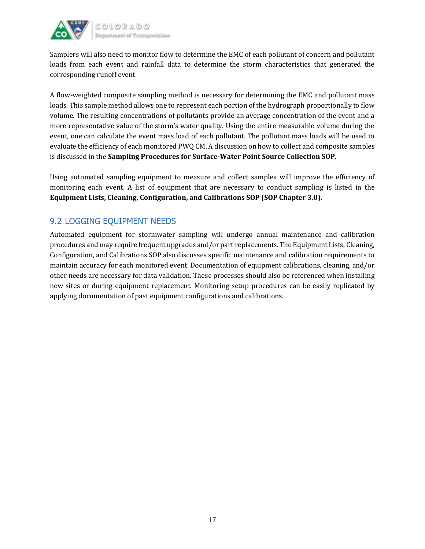

Samplers will also need to monitor flow to determine the EMC of each pollutant of concern and pollutant loads from each event and rainfall data to determine the storm characteristics that generated the corresponding runoff event.

A flow-weighted composite sampling method is necessary for determining the EMC and pollutant mass loads. This sample method allows one to represent each portion of the hydrograph proportionally to flow volume. The resulting concentrations of pollutants provide an average concentration of the event and a more representative value of the storm's water quality. Using the entire measurable volume during the event, one can calculate the event mass load of each pollutant. The pollutant mass loads will be used to evaluate the efficiency of each monitored PWQ CM. A discussion on how to collect and composite samples is discussed in the **Sampling Procedures for Surface-Water Point Source Collection SOP**.

Using automated sampling equipment to measure and collect samples will improve the efficiency of monitoring each event. A list of equipment that are necessary to conduct sampling is listed in the **Equipment Lists, Cleaning, Configuration, and Calibrations SOP (SOP Chapter 3.0)**.

#### 9.2 LOGGING EQUIPMENT NEEDS

Automated equipment for stormwater sampling will undergo annual maintenance and calibration procedures and may require frequent upgrades and/or part replacements. The Equipment Lists, Cleaning, Configuration, and Calibrations SOP also discusses specific maintenance and calibration requirements to maintain accuracy for each monitored event. Documentation of equipment calibrations, cleaning, and/or other needs are necessary for data validation. These processes should also be referenced when installing new sites or during equipment replacement. Monitoring setup procedures can be easily replicated by applying documentation of past equipment configurations and calibrations.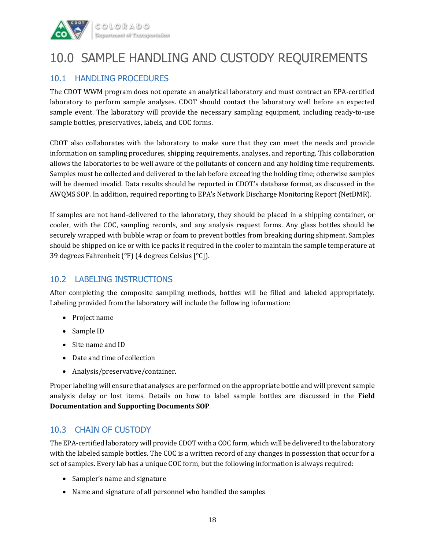

### 10.0 SAMPLE HANDLING AND CUSTODY REQUIREMENTS

#### 10.1 HANDLING PROCEDURES

The CDOT WWM program does not operate an analytical laboratory and must contract an EPA-certified laboratory to perform sample analyses. CDOT should contact the laboratory well before an expected sample event. The laboratory will provide the necessary sampling equipment, including ready-to-use sample bottles, preservatives, labels, and COC forms.

CDOT also collaborates with the laboratory to make sure that they can meet the needs and provide information on sampling procedures, shipping requirements, analyses, and reporting. This collaboration allows the laboratories to be well aware of the pollutants of concern and any holding time requirements. Samples must be collected and delivered to the lab before exceeding the holding time; otherwise samples will be deemed invalid. Data results should be reported in CDOT's database format, as discussed in the AWQMS SOP. In addition, required reporting to EPA's Network Discharge Monitoring Report (NetDMR).

If samples are not hand-delivered to the laboratory, they should be placed in a shipping container, or cooler, with the COC, sampling records, and any analysis request forms. Any glass bottles should be securely wrapped with bubble wrap or foam to prevent bottles from breaking during shipment. Samples should be shipped on ice or with ice packs if required in the cooler to maintain the sample temperature at 39 degrees Fahrenheit (°F) (4 degrees Celsius [°C]).

#### 10.2 LABELING INSTRUCTIONS

After completing the composite sampling methods, bottles will be filled and labeled appropriately. Labeling provided from the laboratory will include the following information:

- Project name
- Sample ID
- Site name and ID
- Date and time of collection
- Analysis/preservative/container.

Proper labeling will ensure that analyses are performed on the appropriate bottle and will prevent sample analysis delay or lost items. Details on how to label sample bottles are discussed in the **Field Documentation and Supporting Documents SOP**.

#### 10.3 CHAIN OF CUSTODY

The EPA-certified laboratory will provide CDOT with a COC form, which will be delivered to the laboratory with the labeled sample bottles. The COC is a written record of any changes in possession that occur for a set of samples. Every lab has a unique COC form, but the following information is always required:

- Sampler's name and signature
- Name and signature of all personnel who handled the samples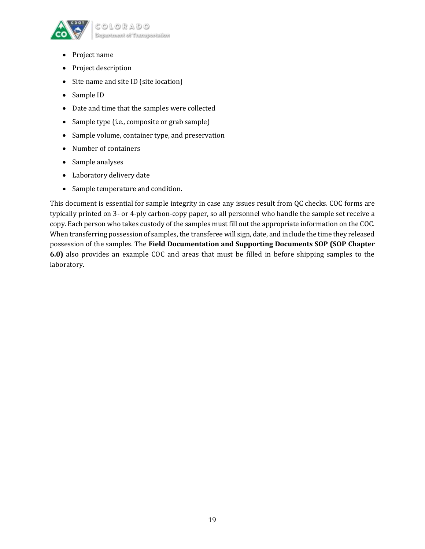

- Project name
- Project description
- Site name and site ID (site location)
- Sample ID
- Date and time that the samples were collected
- Sample type (i.e., composite or grab sample)
- Sample volume, container type, and preservation
- Number of containers
- Sample analyses
- Laboratory delivery date
- Sample temperature and condition.

This document is essential for sample integrity in case any issues result from QC checks. COC forms are typically printed on 3- or 4-ply carbon-copy paper, so all personnel who handle the sample set receive a copy. Each person who takes custody of the samples must fill out the appropriate information on the COC. When transferring possession of samples, the transferee will sign, date, and include the time they released possession of the samples. The **Field Documentation and Supporting Documents SOP (SOP Chapter 6.0)** also provides an example COC and areas that must be filled in before shipping samples to the laboratory.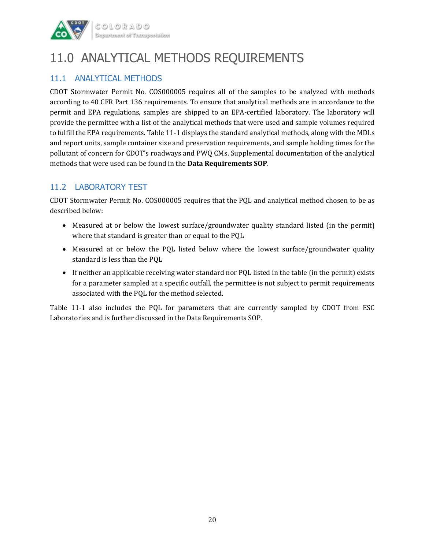

### 11.0 ANALYTICAL METHODS REQUIREMENTS

#### 11.1 ANALYTICAL METHODS

CDOT Stormwater Permit No. COS000005 requires all of the samples to be analyzed with methods according to 40 CFR Part 136 requirements. To ensure that analytical methods are in accordance to the permit and EPA regulations, samples are shipped to an EPA-certified laboratory. The laboratory will provide the permittee with a list of the analytical methods that were used and sample volumes required to fulfill the EPA requirements. Table 11-1 displays the standard analytical methods, along with the MDLs and report units, sample container size and preservation requirements, and sample holding times for the pollutant of concern for CDOT's roadways and PWQ CMs. Supplemental documentation of the analytical methods that were used can be found in the **Data Requirements SOP**.

#### 11.2 LABORATORY TEST

CDOT Stormwater Permit No. COS000005 requires that the PQL and analytical method chosen to be as described below:

- Measured at or below the lowest surface/groundwater quality standard listed (in the permit) where that standard is greater than or equal to the PQL
- Measured at or below the PQL listed below where the lowest surface/groundwater quality standard is less than the PQL
- If neither an applicable receiving water standard nor PQL listed in the table (in the permit) exists for a parameter sampled at a specific outfall, the permittee is not subject to permit requirements associated with the PQL for the method selected.

Table 11-1 also includes the PQL for parameters that are currently sampled by CDOT from ESC Laboratories and is further discussed in the Data Requirements SOP.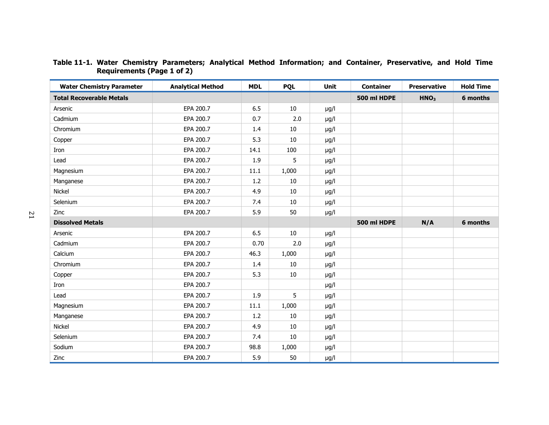| <b>Water Chemistry Parameter</b> | <b>Analytical Method</b> | <b>MDL</b> | <b>PQL</b> | Unit      | <b>Container</b> | <b>Preservative</b> | <b>Hold Time</b> |
|----------------------------------|--------------------------|------------|------------|-----------|------------------|---------------------|------------------|
| <b>Total Recoverable Metals</b>  |                          |            |            |           | 500 ml HDPE      | HNO <sub>3</sub>    | 6 months         |
| Arsenic                          | EPA 200.7                | 6.5        | 10         | $\mu$ g/l |                  |                     |                  |
| Cadmium                          | EPA 200.7                | 0.7        | 2.0        | $\mu$ g/l |                  |                     |                  |
| Chromium                         | EPA 200.7                | 1.4        | 10         | $\mu$ g/l |                  |                     |                  |
| Copper                           | EPA 200.7                | 5.3        | 10         | $\mu$ g/l |                  |                     |                  |
| Iron                             | EPA 200.7                | 14.1       | 100        | $\mu$ g/l |                  |                     |                  |
| Lead                             | EPA 200.7                | 1.9        | 5          | $\mu$ g/l |                  |                     |                  |
| Magnesium                        | EPA 200.7                | 11.1       | 1,000      | $\mu$ g/l |                  |                     |                  |
| Manganese                        | EPA 200.7                | 1.2        | 10         | $\mu$ g/l |                  |                     |                  |
| Nickel                           | EPA 200.7                | 4.9        | 10         | $\mu$ g/l |                  |                     |                  |
| Selenium                         | EPA 200.7                | 7.4        | 10         | $\mu$ g/l |                  |                     |                  |
| Zinc                             | EPA 200.7                | 5.9        | 50         | $\mu$ g/l |                  |                     |                  |
| <b>Dissolved Metals</b>          |                          |            |            |           | 500 ml HDPE      | N/A                 | 6 months         |
| Arsenic                          | EPA 200.7                | 6.5        | 10         | $\mu$ g/l |                  |                     |                  |
| Cadmium                          | EPA 200.7                | 0.70       | 2.0        | $\mu$ g/l |                  |                     |                  |
| Calcium                          | EPA 200.7                | 46.3       | 1,000      | $\mu$ g/l |                  |                     |                  |
| Chromium                         | EPA 200.7                | 1.4        | 10         | $\mu$ g/l |                  |                     |                  |
| Copper                           | EPA 200.7                | 5.3        | 10         | $\mu$ g/l |                  |                     |                  |
| Iron                             | EPA 200.7                |            |            | $\mu$ g/l |                  |                     |                  |
| Lead                             | EPA 200.7                | 1.9        | 5          | $\mu$ g/l |                  |                     |                  |
| Magnesium                        | EPA 200.7                | 11.1       | 1,000      | $\mu$ g/l |                  |                     |                  |
| Manganese                        | EPA 200.7                | 1.2        | 10         | $\mu$ g/l |                  |                     |                  |
| Nickel                           | EPA 200.7                | 4.9        | 10         | $\mu$ g/l |                  |                     |                  |
| Selenium                         | EPA 200.7                | 7.4        | 10         | $\mu$ g/l |                  |                     |                  |
| Sodium                           | EPA 200.7                | 98.8       | 1,000      | $\mu$ g/l |                  |                     |                  |
| Zinc                             | EPA 200.7                | 5.9        | 50         | $\mu$ g/l |                  |                     |                  |

#### **Table 11-1. Water Chemistry Parameters; Analytical Method Information; and Container, Preservative, and Hold Time Requirements (Page 1 of 2)**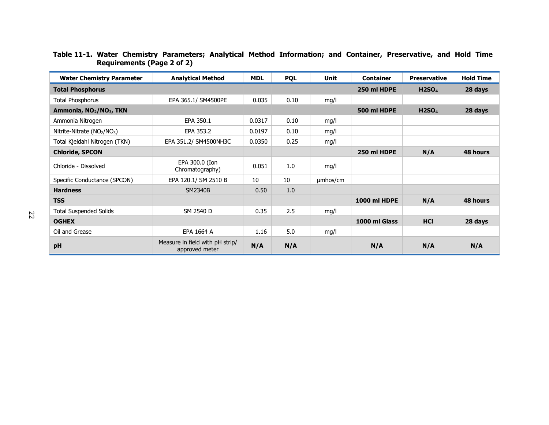| <b>Water Chemistry Parameter</b>                    | <b>Analytical Method</b>                          | <b>MDL</b> | <b>PQL</b> | Unit     | <b>Container</b>    | <b>Preservative</b> | <b>Hold Time</b> |
|-----------------------------------------------------|---------------------------------------------------|------------|------------|----------|---------------------|---------------------|------------------|
| <b>Total Phosphorus</b>                             |                                                   |            |            |          | 250 ml HDPE         | H2SO <sub>4</sub>   | 28 days          |
| <b>Total Phosphorus</b>                             | EPA 365.1/ SM4500PE                               | 0.035      | 0.10       | mg/l     |                     |                     |                  |
| Ammonia, NO <sub>2</sub> /NO <sub>3</sub> , TKN     |                                                   |            |            |          | 500 ml HDPE         | H2SO <sub>4</sub>   | 28 days          |
| Ammonia Nitrogen                                    | EPA 350.1                                         | 0.0317     | 0.10       | mg/l     |                     |                     |                  |
| Nitrite-Nitrate (NO <sub>2</sub> /NO <sub>3</sub> ) | EPA 353.2                                         | 0.0197     | 0.10       | mq/l     |                     |                     |                  |
| Total Kjeldahl Nitrogen (TKN)                       | EPA 351.2/ SM4500NH3C                             | 0.0350     | 0.25       | mg/l     |                     |                     |                  |
| <b>Chloride, SPCON</b>                              |                                                   |            |            |          | 250 ml HDPE         | N/A                 | 48 hours         |
| Chloride - Dissolved                                | EPA 300.0 (Ion<br>Chromatography)                 | 0.051      | 1.0        | mg/l     |                     |                     |                  |
| Specific Conductance (SPCON)                        | EPA 120.1/ SM 2510 B                              | 10         | 10         | umhos/cm |                     |                     |                  |
| <b>Hardness</b>                                     | SM2340B                                           | 0.50       | 1.0        |          |                     |                     |                  |
| <b>TSS</b>                                          |                                                   |            |            |          | <b>1000 ml HDPE</b> | N/A                 | 48 hours         |
| <b>Total Suspended Solids</b>                       | SM 2540 D                                         | 0.35       | 2.5        | mg/l     |                     |                     |                  |
| <b>OGHEX</b>                                        |                                                   |            |            |          | 1000 ml Glass       | <b>HCI</b>          | 28 days          |
| Oil and Grease                                      | EPA 1664 A                                        | 1.16       | 5.0        | mq/l     |                     |                     |                  |
| pH                                                  | Measure in field with pH strip/<br>approved meter | N/A        | N/A        |          | N/A                 | N/A                 | N/A              |

#### **Table 11-1. Water Chemistry Parameters; Analytical Method Information; and Container, Preservative, and Hold Time Requirements (Page 2 of 2)**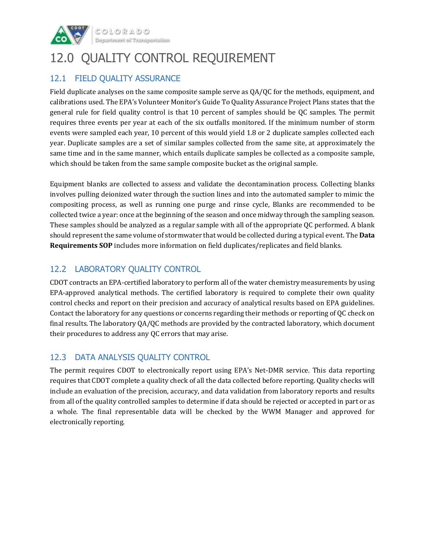

 $\begin{array}{l} \mathbb{C} \, \mathbb{O} \, \mathbb{L} \, \mathbb{O} \, \mathbb{R} \, \mathbb{A} \, \mathbb{D} \, \mathbb{O} \end{array}$ 

### 12.0 QUALITY CONTROL REQUIREMENT

#### 12.1 FIELD QUALITY ASSURANCE

Field duplicate analyses on the same composite sample serve as QA/QC for the methods, equipment, and calibrations used. The EPA's Volunteer Monitor's Guide To Quality Assurance Project Plans states that the general rule for field quality control is that 10 percent of samples should be QC samples. The permit requires three events per year at each of the six outfalls monitored. If the minimum number of storm events were sampled each year, 10 percent of this would yield 1.8 or 2 duplicate samples collected each year. Duplicate samples are a set of similar samples collected from the same site, at approximately the same time and in the same manner, which entails duplicate samples be collected as a composite sample, which should be taken from the same sample composite bucket as the original sample.

Equipment blanks are collected to assess and validate the decontamination process. Collecting blanks involves pulling deionized water through the suction lines and into the automated sampler to mimic the compositing process, as well as running one purge and rinse cycle, Blanks are recommended to be collected twice a year: once at the beginning of the season and once midway through the sampling season. These samples should be analyzed as a regular sample with all of the appropriate QC performed. A blank should represent the same volume of stormwater that would be collected during a typical event. The **Data Requirements SOP** includes more information on field duplicates/replicates and field blanks.

#### 12.2 LABORATORY QUALITY CONTROL

CDOT contracts an EPA-certified laboratory to perform all of the water chemistry measurements by using EPA-approved analytical methods. The certified laboratory is required to complete their own quality control checks and report on their precision and accuracy of analytical results based on EPA guidelines. Contact the laboratory for any questions or concerns regarding their methods or reporting of QC check on final results. The laboratory QA/QC methods are provided by the contracted laboratory, which document their procedures to address any QC errors that may arise.

#### 12.3 DATA ANALYSIS QUALITY CONTROL

The permit requires CDOT to electronically report using EPA's Net-DMR service. This data reporting requires that CDOT complete a quality check of all the data collected before reporting. Quality checks will include an evaluation of the precision, accuracy, and data validation from laboratory reports and results from all of the quality controlled samples to determine if data should be rejected or accepted in part or as a whole. The final representable data will be checked by the WWM Manager and approved for electronically reporting.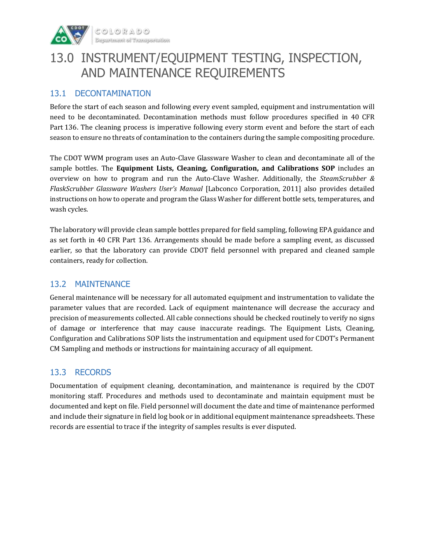

### 13.0 INSTRUMENT/EQUIPMENT TESTING, INSPECTION, AND MAINTENANCE REQUIREMENTS

#### 13.1 DECONTAMINATION

Before the start of each season and following every event sampled, equipment and instrumentation will need to be decontaminated. Decontamination methods must follow procedures specified in 40 CFR Part 136. The cleaning process is imperative following every storm event and before the start of each season to ensure no threats of contamination to the containers during the sample compositing procedure.

The CDOT WWM program uses an Auto-Clave Glassware Washer to clean and decontaminate all of the sample bottles. The **Equipment Lists, Cleaning, Configuration, and Calibrations SOP** includes an overview on how to program and run the Auto-Clave Washer. Additionally, the *SteamScrubber & FlaskScrubber Glassware Washers User's Manual* [Labconco Corporation, 2011] also provides detailed instructions on how to operate and program the Glass Washer for different bottle sets, temperatures, and wash cycles.

The laboratory will provide clean sample bottles prepared for field sampling, following EPA guidance and as set forth in 40 CFR Part 136. Arrangements should be made before a sampling event, as discussed earlier, so that the laboratory can provide CDOT field personnel with prepared and cleaned sample containers, ready for collection.

#### 13.2 MAINTENANCE

General maintenance will be necessary for all automated equipment and instrumentation to validate the parameter values that are recorded. Lack of equipment maintenance will decrease the accuracy and precision of measurements collected. All cable connections should be checked routinely to verify no signs of damage or interference that may cause inaccurate readings. The Equipment Lists, Cleaning, Configuration and Calibrations SOP lists the instrumentation and equipment used for CDOT's Permanent CM Sampling and methods or instructions for maintaining accuracy of all equipment.

#### 13.3 RECORDS

Documentation of equipment cleaning, decontamination, and maintenance is required by the CDOT monitoring staff. Procedures and methods used to decontaminate and maintain equipment must be documented and kept on file. Field personnel will document the date and time of maintenance performed and include their signature in field log book or in additional equipment maintenance spreadsheets. These records are essential to trace if the integrity of samples results is ever disputed.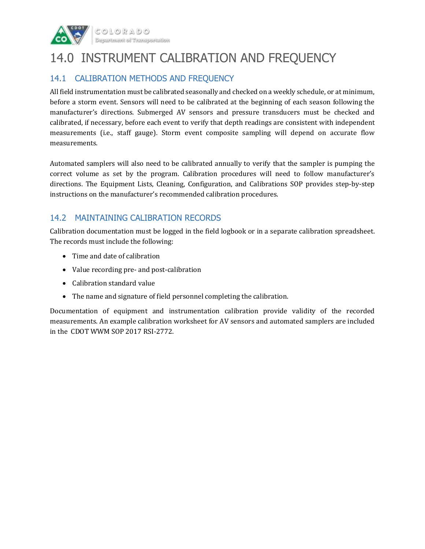

### 14.0 INSTRUMENT CALIBRATION AND FREQUENCY

### 14.1 CALIBRATION METHODS AND FREQUENCY

All field instrumentation must be calibrated seasonally and checked on a weekly schedule, or at minimum, before a storm event. Sensors will need to be calibrated at the beginning of each season following the manufacturer's directions. Submerged AV sensors and pressure transducers must be checked and calibrated, if necessary, before each event to verify that depth readings are consistent with independent measurements (i.e., staff gauge). Storm event composite sampling will depend on accurate flow measurements.

Automated samplers will also need to be calibrated annually to verify that the sampler is pumping the correct volume as set by the program. Calibration procedures will need to follow manufacturer's directions. The Equipment Lists, Cleaning, Configuration, and Calibrations SOP provides step-by-step instructions on the manufacturer's recommended calibration procedures.

#### 14.2 MAINTAINING CALIBRATION RECORDS

Calibration documentation must be logged in the field logbook or in a separate calibration spreadsheet. The records must include the following:

- Time and date of calibration
- Value recording pre- and post-calibration
- Calibration standard value
- The name and signature of field personnel completing the calibration.

Documentation of equipment and instrumentation calibration provide validity of the recorded measurements. An example calibration worksheet for AV sensors and automated samplers are included in the CDOT WWM SOP 2017 RSI-2772.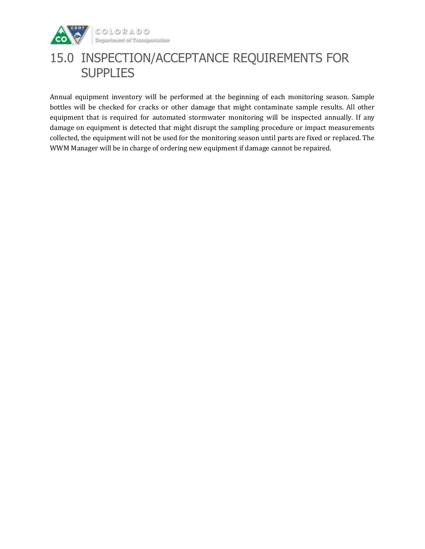

 $\begin{array}{l} \mathbb{C} \circlearrowleft \mathbb{L} \circlearrowleft \mathbb{R} \mathbb{A} \circlearrowright \circlearrowright \\ \mathbb{D} \text{symmetrantent} \circlearrowleft \text{transposition} \end{array}$ 

### 15.0 INSPECTION/ACCEPTANCE REQUIREMENTS FOR **SUPPLIES**

Annual equipment inventory will be performed at the beginning of each monitoring season. Sample bottles will be checked for cracks or other damage that might contaminate sample results. All other equipment that is required for automated stormwater monitoring will be inspected annually. If any damage on equipment is detected that might disrupt the sampling procedure or impact measurements collected, the equipment will not be used for the monitoring season until parts are fixed or replaced. The WWM Manager will be in charge of ordering new equipment if damage cannot be repaired.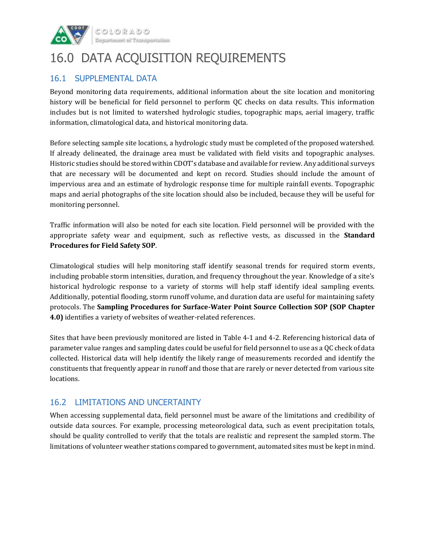

### 16.0 DATA ACQUISITION REQUIREMENTS

#### 16.1 SUPPLEMENTAL DATA

Beyond monitoring data requirements, additional information about the site location and monitoring history will be beneficial for field personnel to perform QC checks on data results. This information includes but is not limited to watershed hydrologic studies, topographic maps, aerial imagery, traffic information, climatological data, and historical monitoring data.

Before selecting sample site locations, a hydrologic study must be completed of the proposed watershed. If already delineated, the drainage area must be validated with field visits and topographic analyses. Historic studies should be stored within CDOT's database and available for review. Any additional surveys that are necessary will be documented and kept on record. Studies should include the amount of impervious area and an estimate of hydrologic response time for multiple rainfall events. Topographic maps and aerial photographs of the site location should also be included, because they will be useful for monitoring personnel.

Traffic information will also be noted for each site location. Field personnel will be provided with the appropriate safety wear and equipment, such as reflective vests, as discussed in the **Standard Procedures for Field Safety SOP**.

Climatological studies will help monitoring staff identify seasonal trends for required storm events, including probable storm intensities, duration, and frequency throughout the year. Knowledge of a site's historical hydrologic response to a variety of storms will help staff identify ideal sampling events. Additionally, potential flooding, storm runoff volume, and duration data are useful for maintaining safety protocols. The **Sampling Procedures for Surface-Water Point Source Collection SOP (SOP Chapter 4.0)** identifies a variety of websites of weather-related references.

Sites that have been previously monitored are listed in Table 4-1 and 4-2. Referencing historical data of parameter value ranges and sampling dates could be useful for field personnel to use as a QC check of data collected. Historical data will help identify the likely range of measurements recorded and identify the constituents that frequently appear in runoff and those that are rarely or never detected from various site locations.

#### 16.2 LIMITATIONS AND UNCERTAINTY

When accessing supplemental data, field personnel must be aware of the limitations and credibility of outside data sources. For example, processing meteorological data, such as event precipitation totals, should be quality controlled to verify that the totals are realistic and represent the sampled storm. The limitations of volunteer weather stations compared to government, automated sites must be kept in mind.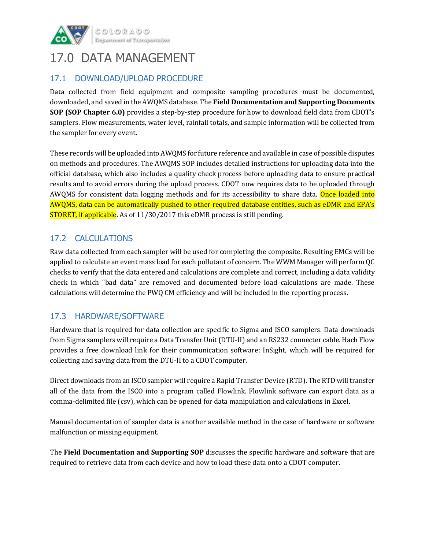

### 17.0 DATA MANAGEMENT

#### 17.1 DOWNLOAD/UPLOAD PROCEDURE

Data collected from field equipment and composite sampling procedures must be documented, downloaded, and saved in the AWQMS database. The **Field Documentation and Supporting Documents SOP (SOP Chapter 6.0)** provides a step-by-step procedure for how to download field data from CDOT's samplers. Flow measurements, water level, rainfall totals, and sample information will be collected from the sampler for every event.

These records will be uploaded into AWQMS for future reference and available in case of possible disputes on methods and procedures. The AWQMS SOP includes detailed instructions for uploading data into the official database, which also includes a quality check process before uploading data to ensure practical results and to avoid errors during the upload process. CDOT now requires data to be uploaded through AWQMS for consistent data logging methods and for its accessibility to share data. Once loaded into AWQMS, data can be automatically pushed to other required database entities, such as eDMR and EPA's STORET, if applicable. As of 11/30/2017 this eDMR process is still pending.

#### 17.2 CALCULATIONS

Raw data collected from each sampler will be used for completing the composite. Resulting EMCs will be applied to calculate an event mass load for each pollutant of concern. The WWM Manager will perform QC checks to verify that the data entered and calculations are complete and correct, including a data validity check in which "bad data" are removed and documented before load calculations are made. These calculations will determine the PWQ CM efficiency and will be included in the reporting process.

#### 17.3 HARDWARE/SOFTWARE

Hardware that is required for data collection are specific to Sigma and ISCO samplers. Data downloads from Sigma samplers will require a Data Transfer Unit (DTU-II) and an RS232 connecter cable. Hach Flow provides a free download link for their communication software: InSight, which will be required for collecting and saving data from the DTU-II to a CDOT computer.

Direct downloads from an ISCO sampler will require a Rapid Transfer Device (RTD). The RTD will transfer all of the data from the ISCO into a program called Flowlink. Flowlink software can export data as a comma-delimited file (csv), which can be opened for data manipulation and calculations in Excel.

Manual documentation of sampler data is another available method in the case of hardware or software malfunction or missing equipment.

The **Field Documentation and Supporting SOP** discusses the specific hardware and software that are required to retrieve data from each device and how to load these data onto a CDOT computer.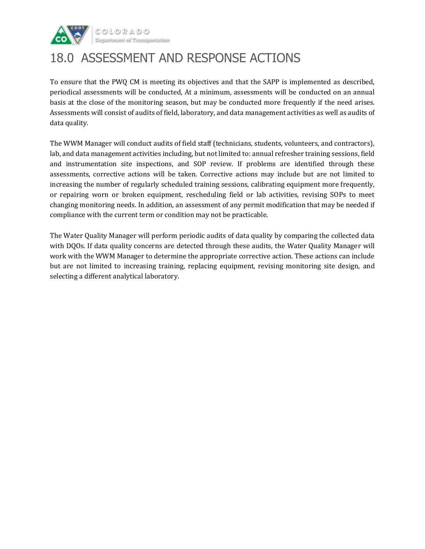

### 18.0 ASSESSMENT AND RESPONSE ACTIONS

To ensure that the PWQ CM is meeting its objectives and that the SAPP is implemented as described, periodical assessments will be conducted, At a minimum, assessments will be conducted on an annual basis at the close of the monitoring season, but may be conducted more frequently if the need arises. Assessments will consist of audits of field, laboratory, and data management activities as well as audits of data quality.

The WWM Manager will conduct audits of field staff (technicians, students, volunteers, and contractors), lab, and data management activities including, but not limited to: annual refresher training sessions, field and instrumentation site inspections, and SOP review. If problems are identified through these assessments, corrective actions will be taken. Corrective actions may include but are not limited to increasing the number of regularly scheduled training sessions, calibrating equipment more frequently, or repairing worn or broken equipment, rescheduling field or lab activities, revising SOPs to meet changing monitoring needs. In addition, an assessment of any permit modification that may be needed if compliance with the current term or condition may not be practicable.

The Water Quality Manager will perform periodic audits of data quality by comparing the collected data with DQOs. If data quality concerns are detected through these audits, the Water Quality Manager will work with the WWM Manager to determine the appropriate corrective action. These actions can include but are not limited to increasing training, replacing equipment, revising monitoring site design, and selecting a different analytical laboratory.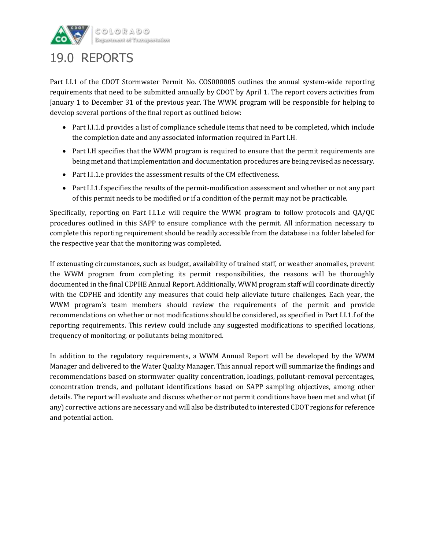

### 19.0 REPORTS

Part I.I.1 of the CDOT Stormwater Permit No. COS000005 outlines the annual system-wide reporting requirements that need to be submitted annually by CDOT by April 1. The report covers activities from January 1 to December 31 of the previous year. The WWM program will be responsible for helping to develop several portions of the final report as outlined below:

- Part I.I.1.d provides a list of compliance schedule items that need to be completed, which include the completion date and any associated information required in Part I.H.
- Part I.H specifies that the WWM program is required to ensure that the permit requirements are being met and that implementation and documentation procedures are being revised as necessary.
- Part I.I.1.e provides the assessment results of the CM effectiveness.
- Part I.I.1.f specifies the results of the permit-modification assessment and whether or not any part of this permit needs to be modified or if a condition of the permit may not be practicable.

Specifically, reporting on Part I.I.1.e will require the WWM program to follow protocols and QA/QC procedures outlined in this SAPP to ensure compliance with the permit. All information necessary to complete this reporting requirement should be readily accessible from the database in a folder labeled for the respective year that the monitoring was completed.

If extenuating circumstances, such as budget, availability of trained staff, or weather anomalies, prevent the WWM program from completing its permit responsibilities, the reasons will be thoroughly documented in the final CDPHE Annual Report. Additionally, WWM program staff will coordinate directly with the CDPHE and identify any measures that could help alleviate future challenges. Each year, the WWM program's team members should review the requirements of the permit and provide recommendations on whether or not modifications should be considered, as specified in Part I.I.1.f of the reporting requirements. This review could include any suggested modifications to specified locations, frequency of monitoring, or pollutants being monitored.

In addition to the regulatory requirements, a WWM Annual Report will be developed by the WWM Manager and delivered to the Water Quality Manager. This annual report will summarize the findings and recommendations based on stormwater quality concentration, loadings, pollutant-removal percentages, concentration trends, and pollutant identifications based on SAPP sampling objectives, among other details. The report will evaluate and discuss whether or not permit conditions have been met and what (if any) corrective actions are necessary and will also be distributed to interested CDOT regions for reference and potential action.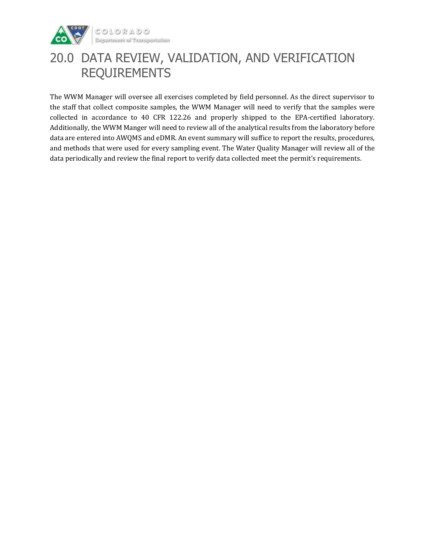

### 20.0 DATA REVIEW, VALIDATION, AND VERIFICATION REQUIREMENTS

The WWM Manager will oversee all exercises completed by field personnel. As the direct supervisor to the staff that collect composite samples, the WWM Manager will need to verify that the samples were collected in accordance to 40 CFR 122.26 and properly shipped to the EPA-certified laboratory. Additionally, the WWM Manger will need to review all of the analytical results from the laboratory before data are entered into AWQMS and eDMR. An event summary will suffice to report the results, procedures, and methods that were used for every sampling event. The Water Quality Manager will review all of the data periodically and review the final report to verify data collected meet the permit's requirements.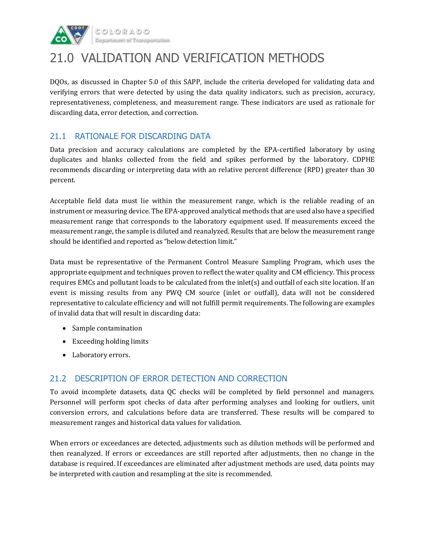

### 21.0 VALIDATION AND VERIFICATION METHODS

DQOs, as discussed in Chapter 5.0 of this SAPP, include the criteria developed for validating data and verifying errors that were detected by using the data quality indicators, such as precision, accuracy, representativeness, completeness, and measurement range. These indicators are used as rationale for discarding data, error detection, and correction.

#### 21.1 RATIONALE FOR DISCARDING DATA

Data precision and accuracy calculations are completed by the EPA-certified laboratory by using duplicates and blanks collected from the field and spikes performed by the laboratory. CDPHE recommends discarding or interpreting data with an relative percent difference (RPD) greater than 30 percent.

Acceptable field data must lie within the measurement range, which is the reliable reading of an instrument or measuring device. The EPA-approved analytical methods that are used also have a specified measurement range that corresponds to the laboratory equipment used. If measurements exceed the measurement range, the sample is diluted and reanalyzed. Results that are below the measurement range should be identified and reported as "below detection limit."

Data must be representative of the Permanent Control Measure Sampling Program, which uses the appropriate equipment and techniques proven to reflect the water quality and CM efficiency. This process requires EMCs and pollutant loads to be calculated from the inlet(s) and outfall of each site location. If an event is missing results from any PWQ CM source (inlet or outfall), data will not be considered representative to calculate efficiency and will not fulfill permit requirements. The following are examples of invalid data that will result in discarding data:

- Sample contamination
- Exceeding holding limits
- Laboratory errors.

#### 21.2 DESCRIPTION OF ERROR DETECTION AND CORRECTION

To avoid incomplete datasets, data QC checks will be completed by field personnel and managers. Personnel will perform spot checks of data after performing analyses and looking for outliers, unit conversion errors, and calculations before data are transferred. These results will be compared to measurement ranges and historical data values for validation.

When errors or exceedances are detected, adjustments such as dilution methods will be performed and then reanalyzed. If errors or exceedances are still reported after adjustments, then no change in the database is required. If exceedances are eliminated after adjustment methods are used, data points may be interpreted with caution and resampling at the site is recommended.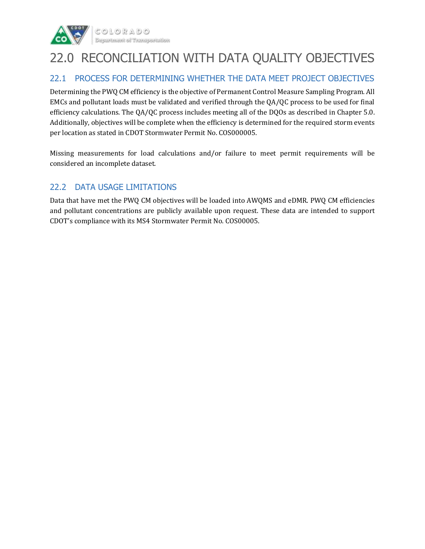

### 22.0 RECONCILIATION WITH DATA QUALITY OBJECTIVES

#### 22.1 PROCESS FOR DETERMINING WHETHER THE DATA MEET PROJECT OBJECTIVES

Determining the PWQ CM efficiency is the objective of Permanent Control Measure Sampling Program. All EMCs and pollutant loads must be validated and verified through the QA/QC process to be used for final efficiency calculations. The QA/QC process includes meeting all of the DQOs as described in Chapter 5.0. Additionally, objectives will be complete when the efficiency is determined for the required storm events per location as stated in CDOT Stormwater Permit No. COS000005.

Missing measurements for load calculations and/or failure to meet permit requirements will be considered an incomplete dataset.

#### 22.2 DATA USAGE LIMITATIONS

Data that have met the PWQ CM objectives will be loaded into AWQMS and eDMR. PWQ CM efficiencies and pollutant concentrations are publicly available upon request. These data are intended to support CDOT's compliance with its MS4 Stormwater Permit No. COS00005.